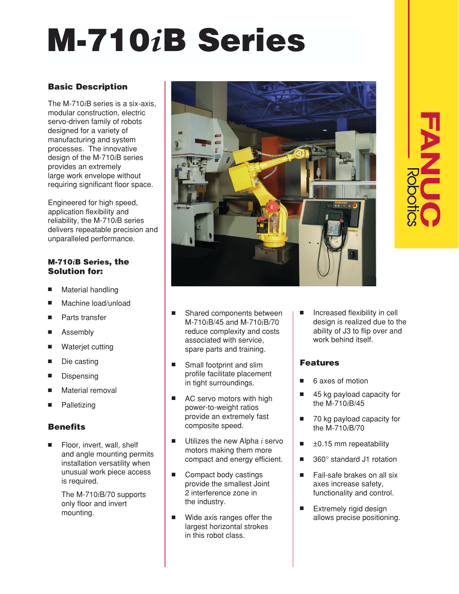# **M-710***i***B Series**

## **Basic Description**

The M-710*i*B series is a six-axis, modular construction, electric servo-driven family of robots designed for a variety of manufacturing and system processes. The innovative design of the M-710*i*B series provides an extremely large work envelope without requiring significant floor space.

Engineered for high speed, application flexibility and reliability, the M-710*i*B series delivers repeatable precision and unparalleled performance.

#### **M-710***i***B Series, the Solution for:**

- Material handling
- Machine load/unload
- Parts transfer
- Assembly
- Waterjet cutting
- Die casting
- **Dispensing**
- Material removal
- **Palletizing**

#### **Benefits**

Floor, invert, wall, shelf and angle mounting permits installation versatility when unusual work piece access is required.

The M-710*i*B/70 supports only floor and invert mounting.



- Shared components between M-710*i*B/45 and M-710*i*B/70 reduce complexity and costs associated with service, spare parts and training.
- Small footprint and slim profile facilitate placement in tight surroundings.
- AC servo motors with high power-to-weight ratios provide an extremely fast composite speed.
- Utilizes the new Alpha *i* servo motors making them more compact and energy efficient.
- Compact body castings provide the smallest Joint 2 interference zone in the industry.
- Wide axis ranges offer the largest horizontal strokes in this robot class.

Increased flexibility in cell design is realized due to the ability of J3 to flip over and work behind itself.

### **Features**

- 6 axes of motion
- 45 kg payload capacity for the M-710*i*B/45
- 70 kg payload capacity for the M-710*i*B/70
- $±0.15$  mm repeatability
- 360° standard J1 rotation
- Fail-safe brakes on all six axes increase safety, functionality and control.
- Extremely rigid design allows precise positioning.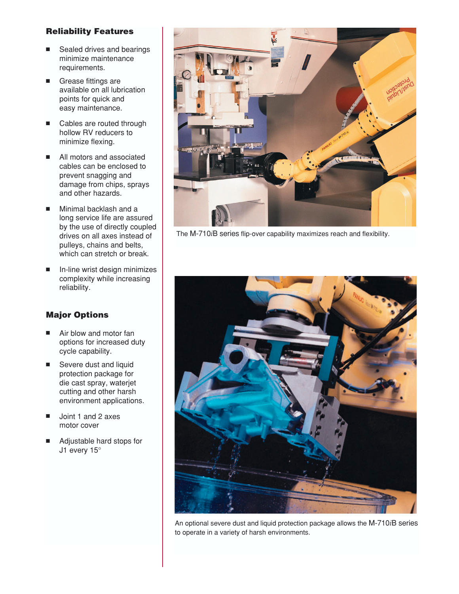#### **Reliability Features**

- Sealed drives and bearings minimize maintenance requirements.
- Grease fittings are available on all lubrication points for quick and easy maintenance.
- Cables are routed through hollow RV reducers to minimize flexing.
- All motors and associated cables can be enclosed to prevent snagging and damage from chips, sprays and other hazards.
- Minimal backlash and a long service life are assured by the use of directly coupled drives on all axes instead of pulleys, chains and belts, which can stretch or break.
- In-line wrist design minimizes complexity while increasing reliability.

#### **Major Options**

- Air blow and motor fan options for increased duty cycle capability.
- Severe dust and liquid protection package for die cast spray, waterjet cutting and other harsh environment applications.
- Joint 1 and 2 axes motor cover
- Adjustable hard stops for J1 every 15°



The M-710*i*B series flip-over capability maximizes reach and flexibility.



An optional severe dust and liquid protection package allows the M-710*i*B series to operate in a variety of harsh environments.